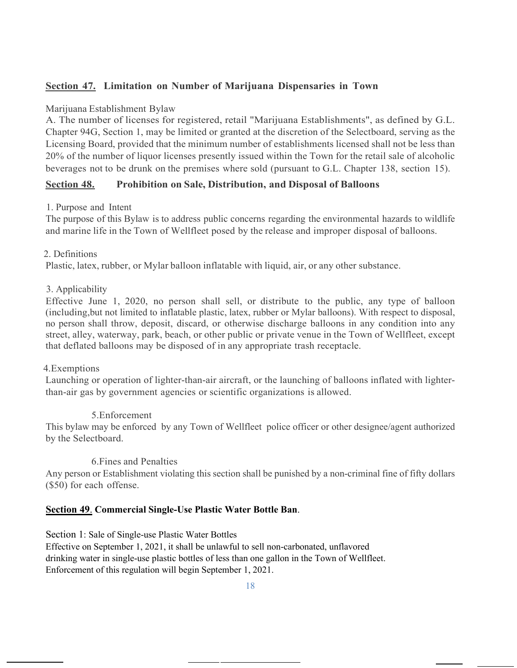### **Section 47. Limitation on Number of Marijuana Dispensaries in Town**

#### Marijuana Establishment Bylaw

A. The number of licenses for registered, retail "Marijuana Establishments", as defined by G.L. Chapter 94G, Section 1, may be limited or granted at the discretion of the Selectboard, serving as the Licensing Board, provided that the minimum number of establishments licensed shall not be less than 20% of the number of liquor licenses presently issued within the Town for the retail sale of alcoholic beverages not to be drunk on the premises where sold (pursuant to G.L. Chapter 138, section 15).

### **Section 48. Prohibition on Sale, Distribution, and Disposal of Balloons**

#### 1. Purpose and Intent

The purpose of this Bylaw is to address public concerns regarding the environmental hazards to wildlife and marine life in the Town of Wellfleet posed by the release and improper disposal of balloons.

#### 2. Definitions

Plastic, latex, rubber, or Mylar balloon inflatable with liquid, air, or any other substance.

#### 3. Applicability

Effective June 1, 2020, no person shall sell, or distribute to the public, any type of balloon (including,but not limited to inflatable plastic, latex, rubber or Mylar balloons). With respect to disposal, no person shall throw, deposit, discard, or otherwise discharge balloons in any condition into any street, alley, waterway, park, beach, or other public or private venue in the Town of Wellfleet, except that deflated balloons may be disposed of in any appropriate trash receptacle.

#### 4.Exemptions

Launching or operation of lighter-than-air aircraft, or the launching of balloons inflated with lighterthan-air gas by government agencies or scientific organizations is allowed.

#### 5.Enforcement

This bylaw may be enforced by any Town of Wellfleet police officer or other designee/agent authorized by the Selectboard.

#### 6.Fines and Penalties

Any person or Establishment violating this section shall be punished by a non-criminal fine of fifty dollars (\$50) for each offense.

#### **Section 49**. **Commercial Single-Use Plastic Water Bottle Ban**.

Section 1: Sale of Single-use Plastic Water Bottles

Effective on September 1, 2021, it shall be unlawful to sell non-carbonated, unflavored drinking water in single-use plastic bottles of less than one gallon in the Town of Wellfleet. Enforcement of this regulation will begin September 1, 2021.

18